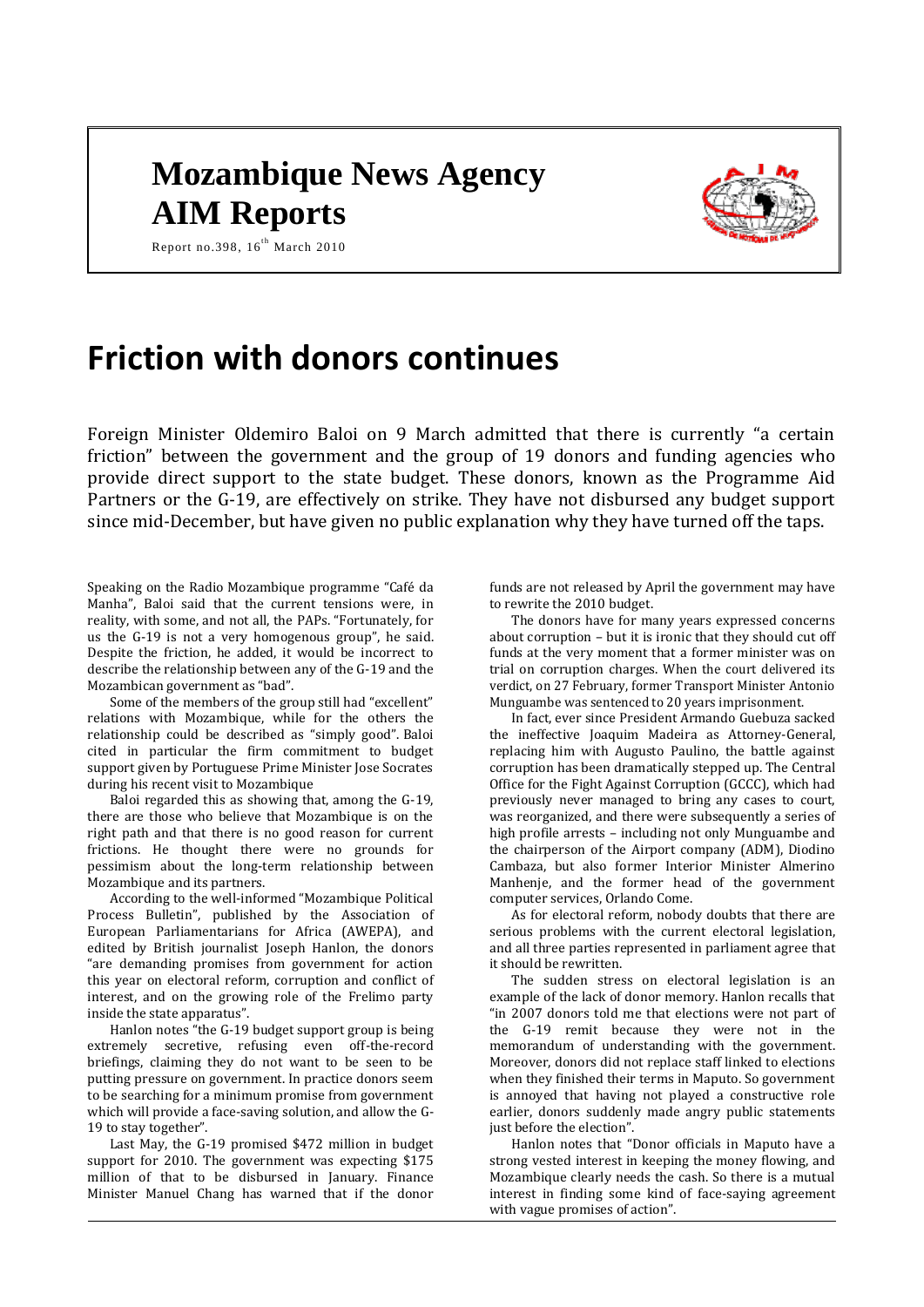# **Mozambique News Agency AIM Reports**



Report no.398,  $16^{th}$  March 2010

# **Friction with donors continues**

Foreign Minister Oldemiro Baloi on 9 March admitted that there is currently "a certain friction" between the government and the group of 19 donors and funding agencies who provide direct support to the state budget. These donors, known as the Programme Aid Partners or the G-19, are effectively on strike. They have not disbursed any budget support since mid-December, but have given no public explanation why they have turned off the taps.

Speaking on the Radio Mozambique programme "Café da Manha", Baloi said that the current tensions were, in reality, with some, and not all, the PAPs. "Fortunately, for us the G-19 is not a very homogenous group", he said. Despite the friction, he added, it would be incorrect to describe the relationship between any of the G-19 and the Mozambican government as "bad".

Some of the members of the group still had "excellent" relations with Mozambique, while for the others the relationship could be described as "simply good". Baloi cited in particular the firm commitment to budget support given by Portuguese Prime Minister Jose Socrates during his recent visit to Mozambique

Baloi regarded this as showing that, among the G-19, there are those who believe that Mozambique is on the right path and that there is no good reason for current frictions. He thought there were no grounds for pessimism about the long-term relationship between Mozambique and its partners.

According to the well-informed "Mozambique Political Process Bulletin", published by the Association of European Parliamentarians for Africa (AWEPA), and edited by British journalist Joseph Hanlon, the donors "are demanding promises from government for action this year on electoral reform, corruption and conflict of interest, and on the growing role of the Frelimo party inside the state apparatus".

Hanlon notes "the G-19 budget support group is being extremely secretive, refusing even off-the-record briefings, claiming they do not want to be seen to be putting pressure on government. In practice donors seem to be searching for a minimum promise from government which will provide a face-saving solution, and allow the G-19 to stay together".

Last May, the G-19 promised \$472 million in budget support for 2010. The government was expecting \$175 million of that to be disbursed in January. Finance Minister Manuel Chang has warned that if the donor

funds are not released by April the government may have to rewrite the 2010 budget.

The donors have for many years expressed concerns about corruption – but it is ironic that they should cut off funds at the very moment that a former minister was on trial on corruption charges. When the court delivered its verdict, on 27 February, former Transport Minister Antonio Munguambe was sentenced to 20 years imprisonment.

In fact, ever since President Armando Guebuza sacked the ineffective Joaquim Madeira as Attorney-General, replacing him with Augusto Paulino, the battle against corruption has been dramatically stepped up. The Central Office for the Fight Against Corruption (GCCC), which had previously never managed to bring any cases to court, was reorganized, and there were subsequently a series of high profile arrests – including not only Munguambe and the chairperson of the Airport company (ADM), Diodino Cambaza, but also former Interior Minister Almerino Manhenje, and the former head of the government computer services, Orlando Come.

As for electoral reform, nobody doubts that there are serious problems with the current electoral legislation, and all three parties represented in parliament agree that it should be rewritten.

The sudden stress on electoral legislation is an example of the lack of donor memory. Hanlon recalls that "in 2007 donors told me that elections were not part of the G-19 remit because they were not in the memorandum of understanding with the government. Moreover, donors did not replace staff linked to elections when they finished their terms in Maputo. So government is annoyed that having not played a constructive role earlier, donors suddenly made angry public statements just before the election".

Hanlon notes that "Donor officials in Maputo have a strong vested interest in keeping the money flowing, and Mozambique clearly needs the cash. So there is a mutual interest in finding some kind of face-saying agreement with vague promises of action".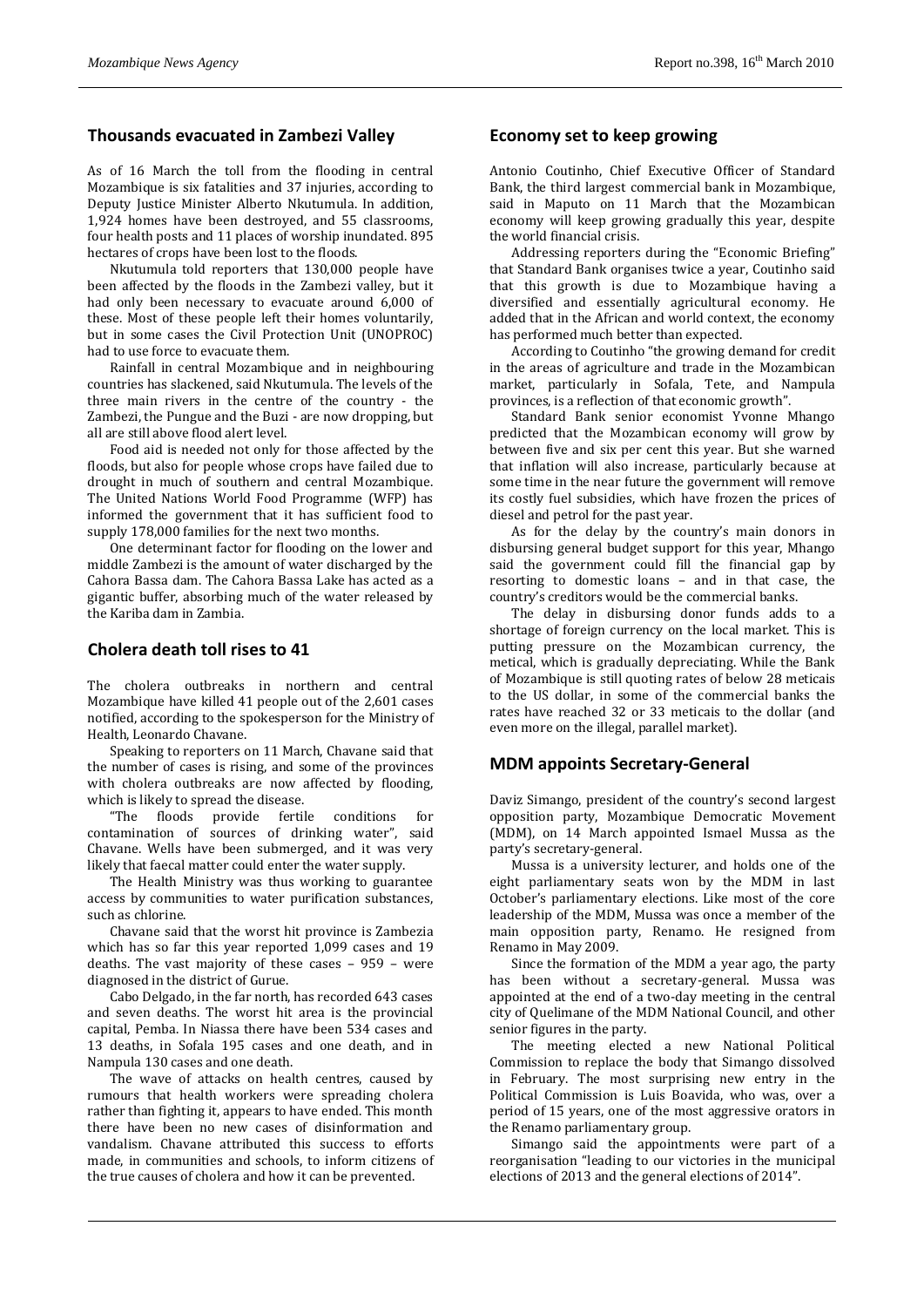## **Thousands evacuated in Zambezi Valley**

As of 16 March the toll from the flooding in central Mozambique is six fatalities and 37 injuries, according to Deputy Justice Minister Alberto Nkutumula. In addition, 1,924 homes have been destroyed, and 55 classrooms, four health posts and 11 places of worship inundated. 895 hectares of crops have been lost to the floods.

Nkutumula told reporters that 130,000 people have been affected by the floods in the Zambezi valley, but it had only been necessary to evacuate around 6,000 of these. Most of these people left their homes voluntarily, but in some cases the Civil Protection Unit (UNOPROC) had to use force to evacuate them.

Rainfall in central Mozambique and in neighbouring countries has slackened, said Nkutumula. The levels of the three main rivers in the centre of the country - the Zambezi, the Pungue and the Buzi - are now dropping, but all are still above flood alert level.

Food aid is needed not only for those affected by the floods, but also for people whose crops have failed due to drought in much of southern and central Mozambique. The United Nations World Food Programme (WFP) has informed the government that it has sufficient food to supply 178,000 families for the next two months.

One determinant factor for flooding on the lower and middle Zambezi is the amount of water discharged by the Cahora Bassa dam. The Cahora Bassa Lake has acted as a gigantic buffer, absorbing much of the water released by the Kariba dam in Zambia.

### **Cholera death toll rises to 41**

The cholera outbreaks in northern and central Mozambique have killed 41 people out of the 2,601 cases notified, according to the spokesperson for the Ministry of Health, Leonardo Chavane.

Speaking to reporters on 11 March, Chavane said that the number of cases is rising, and some of the provinces with cholera outbreaks are now affected by flooding, which is likely to spread the disease.

"The floods provide fertile conditions for contamination of sources of drinking water", said Chavane. Wells have been submerged, and it was very likely that faecal matter could enter the water supply.

The Health Ministry was thus working to guarantee access by communities to water purification substances, such as chlorine.

Chavane said that the worst hit province is Zambezia which has so far this year reported 1,099 cases and 19 deaths. The vast majority of these cases – 959 – were diagnosed in the district of Gurue.

Cabo Delgado, in the far north, has recorded 643 cases and seven deaths. The worst hit area is the provincial capital, Pemba. In Niassa there have been 534 cases and 13 deaths, in Sofala 195 cases and one death, and in Nampula 130 cases and one death.

The wave of attacks on health centres, caused by rumours that health workers were spreading cholera rather than fighting it, appears to have ended. This month there have been no new cases of disinformation and vandalism. Chavane attributed this success to efforts made, in communities and schools, to inform citizens of the true causes of cholera and how it can be prevented.

#### **Economy set to keep growing**

Antonio Coutinho, Chief Executive Officer of Standard Bank, the third largest commercial bank in Mozambique, said in Maputo on 11 March that the Mozambican economy will keep growing gradually this year, despite the world financial crisis.

Addressing reporters during the "Economic Briefing" that Standard Bank organises twice a year, Coutinho said that this growth is due to Mozambique having a diversified and essentially agricultural economy. He added that in the African and world context, the economy has performed much better than expected.

According to Coutinho "the growing demand for credit in the areas of agriculture and trade in the Mozambican market, particularly in Sofala, Tete, and Nampula provinces, is a reflection of that economic growth".

Standard Bank senior economist Yvonne Mhango predicted that the Mozambican economy will grow by between five and six per cent this year. But she warned that inflation will also increase, particularly because at some time in the near future the government will remove its costly fuel subsidies, which have frozen the prices of diesel and petrol for the past year.

As for the delay by the country's main donors in disbursing general budget support for this year, Mhango said the government could fill the financial gap by resorting to domestic loans – and in that case, the country's creditors would be the commercial banks.

The delay in disbursing donor funds adds to a shortage of foreign currency on the local market. This is putting pressure on the Mozambican currency, the metical, which is gradually depreciating. While the Bank of Mozambique is still quoting rates of below 28 meticais to the US dollar, in some of the commercial banks the rates have reached 32 or 33 meticais to the dollar (and even more on the illegal, parallel market).

### **MDM appoints Secretary-General**

Daviz Simango, president of the country's second largest opposition party, Mozambique Democratic Movement (MDM), on 14 March appointed Ismael Mussa as the party's secretary-general.

Mussa is a university lecturer, and holds one of the eight parliamentary seats won by the MDM in last October's parliamentary elections. Like most of the core leadership of the MDM, Mussa was once a member of the main opposition party, Renamo. He resigned from Renamo in May 2009.

Since the formation of the MDM a year ago, the party has been without a secretary-general. Mussa was appointed at the end of a two-day meeting in the central city of Quelimane of the MDM National Council, and other senior figures in the party.

The meeting elected a new National Political Commission to replace the body that Simango dissolved in February. The most surprising new entry in the Political Commission is Luis Boavida, who was, over a period of 15 years, one of the most aggressive orators in the Renamo parliamentary group.

Simango said the appointments were part of a reorganisation "leading to our victories in the municipal elections of 2013 and the general elections of 2014".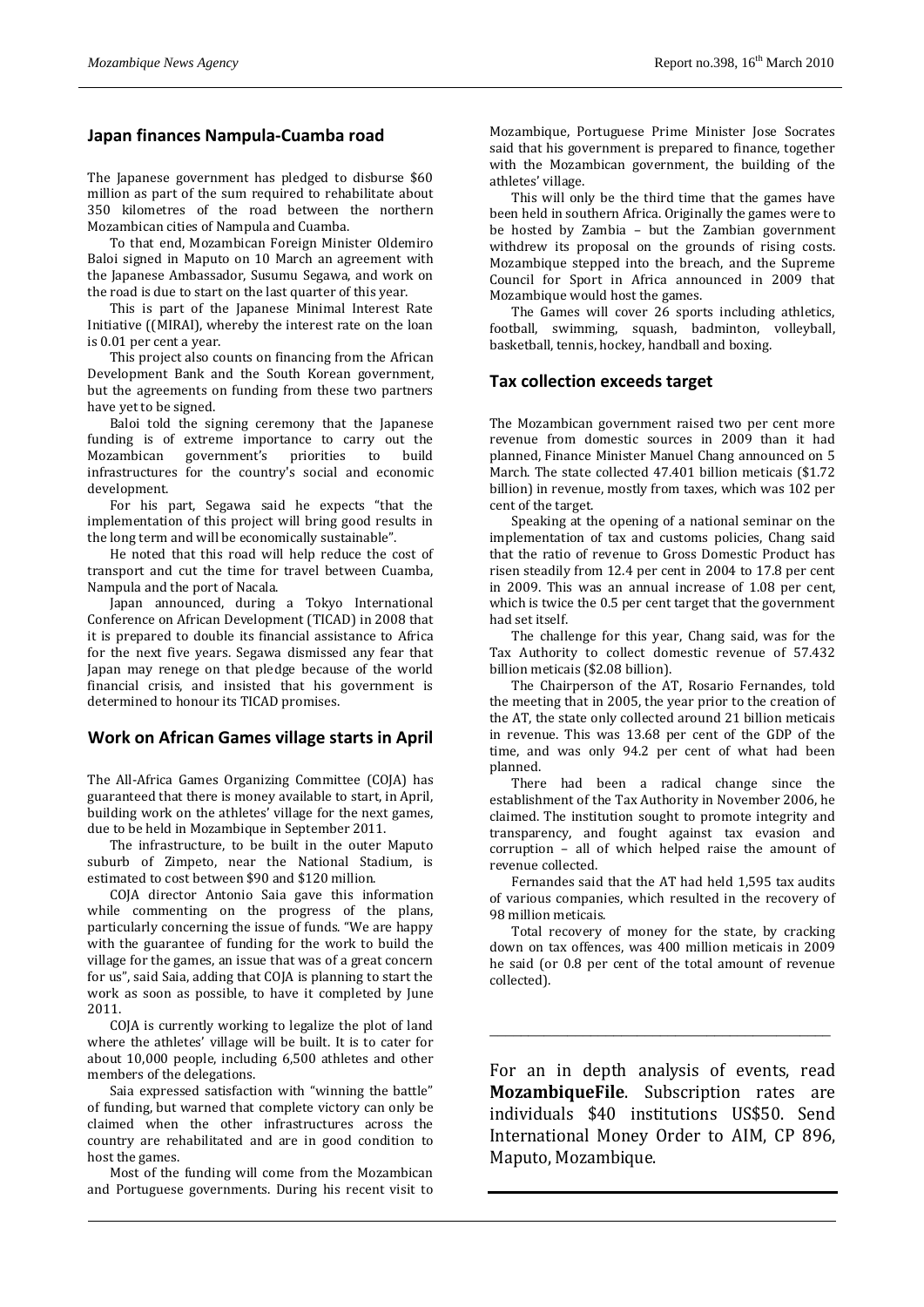## **Japan finances Nampula-Cuamba road**

The Japanese government has pledged to disburse \$60 million as part of the sum required to rehabilitate about 350 kilometres of the road between the northern Mozambican cities of Nampula and Cuamba.

To that end, Mozambican Foreign Minister Oldemiro Baloi signed in Maputo on 10 March an agreement with the Japanese Ambassador, Susumu Segawa, and work on the road is due to start on the last quarter of this year.

This is part of the Japanese Minimal Interest Rate Initiative ((MIRAI), whereby the interest rate on the loan is 0.01 per cent a year.

This project also counts on financing from the African Development Bank and the South Korean government, but the agreements on funding from these two partners have yet to be signed.

Baloi told the signing ceremony that the Japanese funding is of extreme importance to carry out the Mozambican government's priorities to build infrastructures for the country's social and economic development.

For his part, Segawa said he expects "that the implementation of this project will bring good results in the long term and will be economically sustainable".

He noted that this road will help reduce the cost of transport and cut the time for travel between Cuamba, Nampula and the port of Nacala.

Japan announced, during a Tokyo International Conference on African Development (TICAD) in 2008 that it is prepared to double its financial assistance to Africa for the next five years. Segawa dismissed any fear that Japan may renege on that pledge because of the world financial crisis, and insisted that his government is determined to honour its TICAD promises.

## **Work on African Games village starts in April**

The All-Africa Games Organizing Committee (COJA) has guaranteed that there is money available to start, in April, building work on the athletes' village for the next games, due to be held in Mozambique in September 2011.

The infrastructure, to be built in the outer Maputo suburb of Zimpeto, near the National Stadium, is estimated to cost between \$90 and \$120 million.

COJA director Antonio Saia gave this information while commenting on the progress of the plans, particularly concerning the issue of funds. "We are happy with the guarantee of funding for the work to build the village for the games, an issue that was of a great concern for us", said Saia, adding that COJA is planning to start the work as soon as possible, to have it completed by June 2011.

COJA is currently working to legalize the plot of land where the athletes' village will be built. It is to cater for about 10,000 people, including 6,500 athletes and other members of the delegations.

Saia expressed satisfaction with "winning the battle" of funding, but warned that complete victory can only be claimed when the other infrastructures across the country are rehabilitated and are in good condition to host the games.

Most of the funding will come from the Mozambican and Portuguese governments. During his recent visit to Mozambique, Portuguese Prime Minister Jose Socrates said that his government is prepared to finance, together with the Mozambican government, the building of the athletes' village.

This will only be the third time that the games have been held in southern Africa. Originally the games were to be hosted by Zambia – but the Zambian government withdrew its proposal on the grounds of rising costs. Mozambique stepped into the breach, and the Supreme Council for Sport in Africa announced in 2009 that Mozambique would host the games.

The Games will cover 26 sports including athletics, football, swimming, squash, badminton, volleyball, basketball, tennis, hockey, handball and boxing.

## **Tax collection exceeds target**

The Mozambican government raised two per cent more revenue from domestic sources in 2009 than it had planned, Finance Minister Manuel Chang announced on 5 March. The state collected 47.401 billion meticais (\$1.72 billion) in revenue, mostly from taxes, which was 102 per cent of the target.

Speaking at the opening of a national seminar on the implementation of tax and customs policies, Chang said that the ratio of revenue to Gross Domestic Product has risen steadily from 12.4 per cent in 2004 to 17.8 per cent in 2009. This was an annual increase of 1.08 per cent, which is twice the 0.5 per cent target that the government had set itself.

The challenge for this year, Chang said, was for the Tax Authority to collect domestic revenue of 57.432 billion meticais (\$2.08 billion).

The Chairperson of the AT, Rosario Fernandes, told the meeting that in 2005, the year prior to the creation of the AT, the state only collected around 21 billion meticais in revenue. This was 13.68 per cent of the GDP of the time, and was only 94.2 per cent of what had been planned.

There had been a radical change since the establishment of the Tax Authority in November 2006, he claimed. The institution sought to promote integrity and transparency, and fought against tax evasion and corruption – all of which helped raise the amount of revenue collected.

Fernandes said that the AT had held 1,595 tax audits of various companies, which resulted in the recovery of 98 million meticais.

Total recovery of money for the state, by cracking down on tax offences, was 400 million meticais in 2009 he said (or 0.8 per cent of the total amount of revenue collected).

\_\_\_\_\_\_\_\_\_\_\_\_\_\_\_\_\_\_\_\_\_\_\_\_\_\_\_\_\_\_\_\_\_\_\_\_\_\_\_\_\_\_\_\_

For an in depth analysis of events, read **MozambiqueFile**. Subscription rates are individuals \$40 institutions US\$50. Send International Money Order to AIM, CP 896, Maputo, Mozambique.